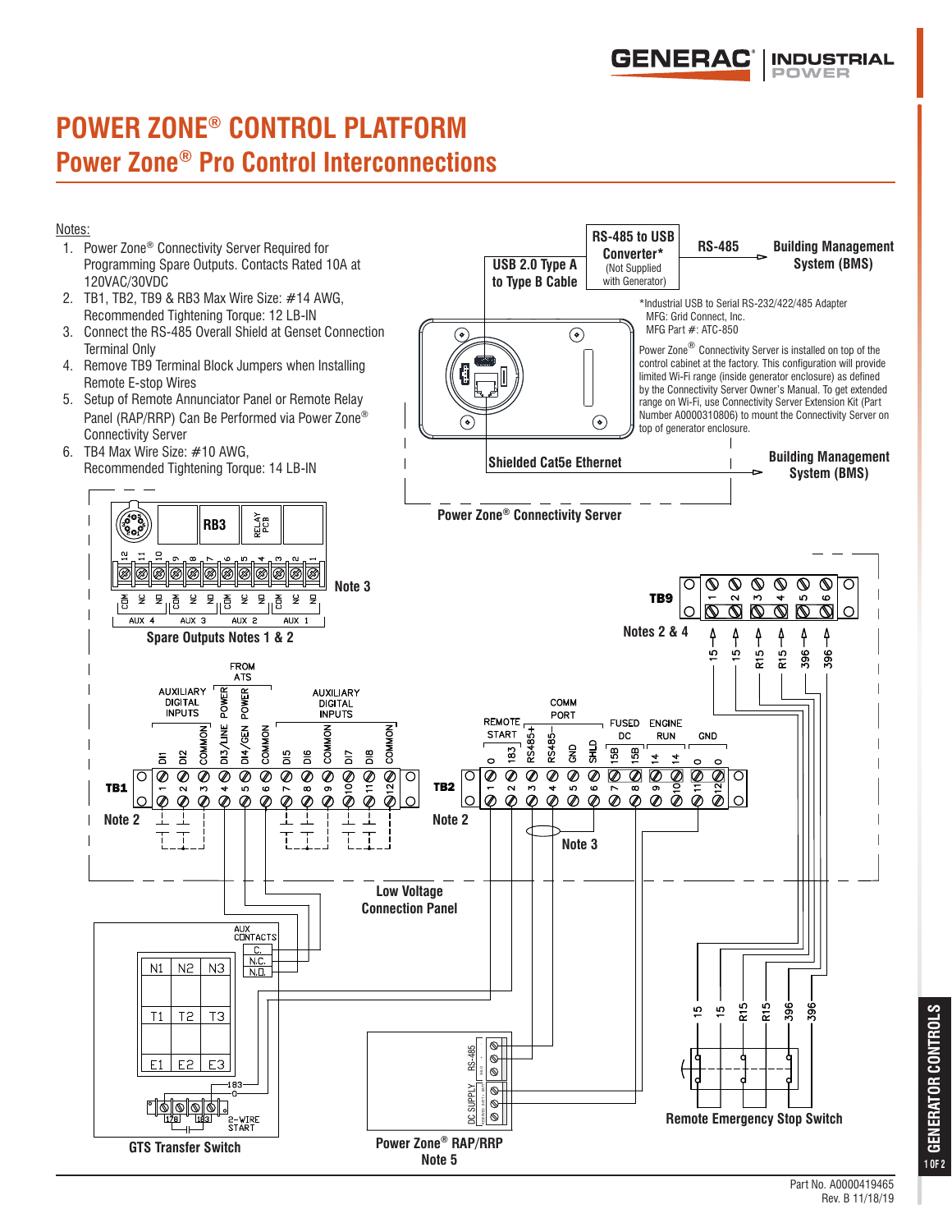

## **POWER ZONE® CONTROL PLATFORM Power Zone® Pro Control Interconnections**